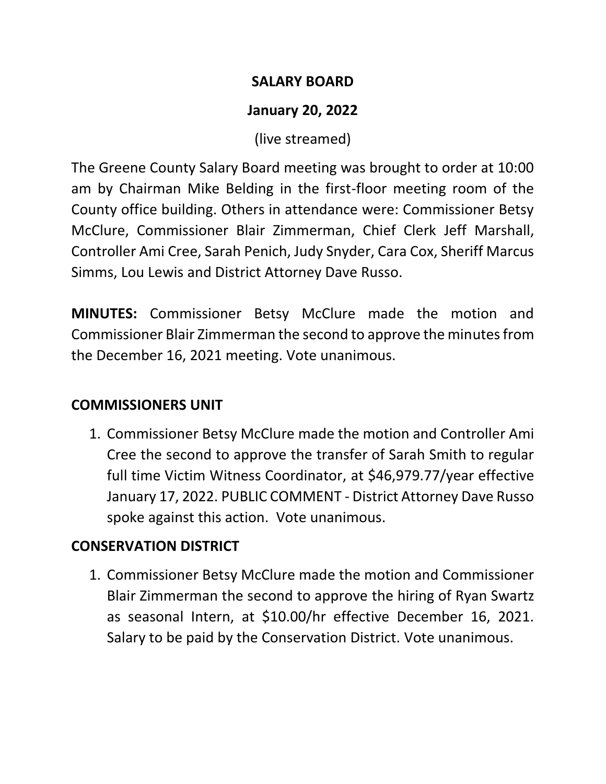### **SALARY BOARD**

# **January 20, 2022**

(live streamed)

The Greene County Salary Board meeting was brought to order at 10:00 am by Chairman Mike Belding in the first-floor meeting room of the County office building. Others in attendance were: Commissioner Betsy McClure, Commissioner Blair Zimmerman, Chief Clerk Jeff Marshall, Controller Ami Cree, Sarah Penich, Judy Snyder, Cara Cox, Sheriff Marcus Simms, Lou Lewis and District Attorney Dave Russo.

**MINUTES:** Commissioner Betsy McClure made the motion and Commissioner Blair Zimmerman the second to approve the minutes from the December 16, 2021 meeting. Vote unanimous.

## **COMMISSIONERS UNIT**

1. Commissioner Betsy McClure made the motion and Controller Ami Cree the second to approve the transfer of Sarah Smith to regular full time Victim Witness Coordinator, at \$46,979.77/year effective January 17, 2022. PUBLIC COMMENT - District Attorney Dave Russo spoke against this action. Vote unanimous.

# **CONSERVATION DISTRICT**

1. Commissioner Betsy McClure made the motion and Commissioner Blair Zimmerman the second to approve the hiring of Ryan Swartz as seasonal Intern, at \$10.00/hr effective December 16, 2021. Salary to be paid by the Conservation District. Vote unanimous.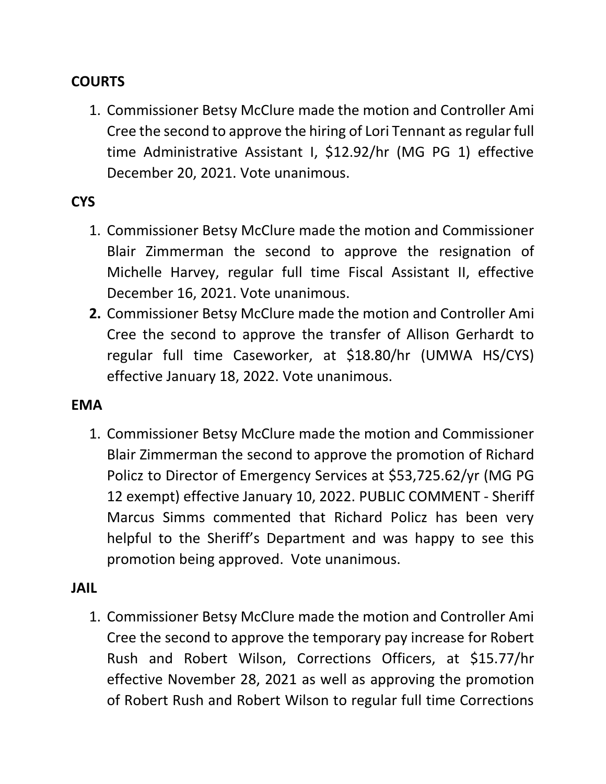### **COURTS**

1. Commissioner Betsy McClure made the motion and Controller Ami Cree the second to approve the hiring of Lori Tennant as regular full time Administrative Assistant I, \$12.92/hr (MG PG 1) effective December 20, 2021. Vote unanimous.

### **CYS**

- 1. Commissioner Betsy McClure made the motion and Commissioner Blair Zimmerman the second to approve the resignation of Michelle Harvey, regular full time Fiscal Assistant II, effective December 16, 2021. Vote unanimous.
- **2.** Commissioner Betsy McClure made the motion and Controller Ami Cree the second to approve the transfer of Allison Gerhardt to regular full time Caseworker, at \$18.80/hr (UMWA HS/CYS) effective January 18, 2022. Vote unanimous.

#### **EMA**

1. Commissioner Betsy McClure made the motion and Commissioner Blair Zimmerman the second to approve the promotion of Richard Policz to Director of Emergency Services at \$53,725.62/yr (MG PG 12 exempt) effective January 10, 2022. PUBLIC COMMENT - Sheriff Marcus Simms commented that Richard Policz has been very helpful to the Sheriff's Department and was happy to see this promotion being approved. Vote unanimous.

#### **JAIL**

1. Commissioner Betsy McClure made the motion and Controller Ami Cree the second to approve the temporary pay increase for Robert Rush and Robert Wilson, Corrections Officers, at \$15.77/hr effective November 28, 2021 as well as approving the promotion of Robert Rush and Robert Wilson to regular full time Corrections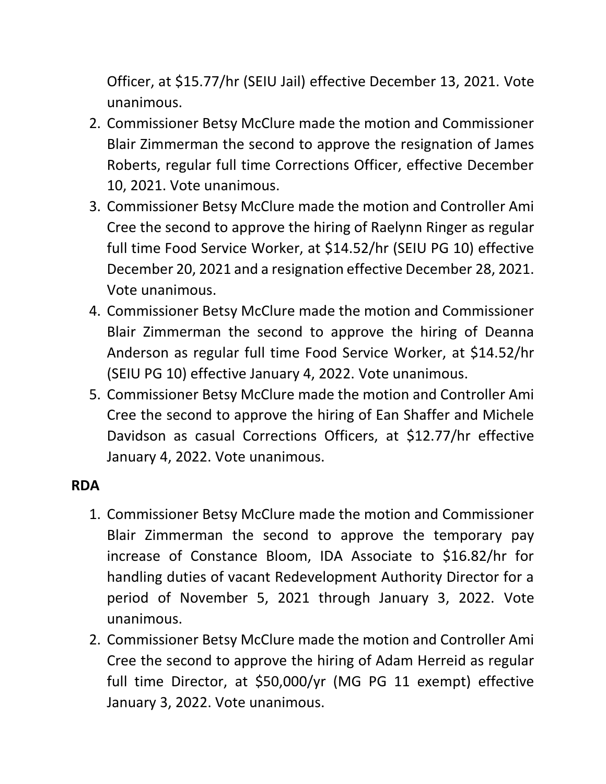Officer, at \$15.77/hr (SEIU Jail) effective December 13, 2021. Vote unanimous.

- 2. Commissioner Betsy McClure made the motion and Commissioner Blair Zimmerman the second to approve the resignation of James Roberts, regular full time Corrections Officer, effective December 10, 2021. Vote unanimous.
- 3. Commissioner Betsy McClure made the motion and Controller Ami Cree the second to approve the hiring of Raelynn Ringer as regular full time Food Service Worker, at \$14.52/hr (SEIU PG 10) effective December 20, 2021 and a resignation effective December 28, 2021. Vote unanimous.
- 4. Commissioner Betsy McClure made the motion and Commissioner Blair Zimmerman the second to approve the hiring of Deanna Anderson as regular full time Food Service Worker, at \$14.52/hr (SEIU PG 10) effective January 4, 2022. Vote unanimous.
- 5. Commissioner Betsy McClure made the motion and Controller Ami Cree the second to approve the hiring of Ean Shaffer and Michele Davidson as casual Corrections Officers, at \$12.77/hr effective January 4, 2022. Vote unanimous.

### **RDA**

- 1. Commissioner Betsy McClure made the motion and Commissioner Blair Zimmerman the second to approve the temporary pay increase of Constance Bloom, IDA Associate to \$16.82/hr for handling duties of vacant Redevelopment Authority Director for a period of November 5, 2021 through January 3, 2022. Vote unanimous.
- 2. Commissioner Betsy McClure made the motion and Controller Ami Cree the second to approve the hiring of Adam Herreid as regular full time Director, at \$50,000/yr (MG PG 11 exempt) effective January 3, 2022. Vote unanimous.